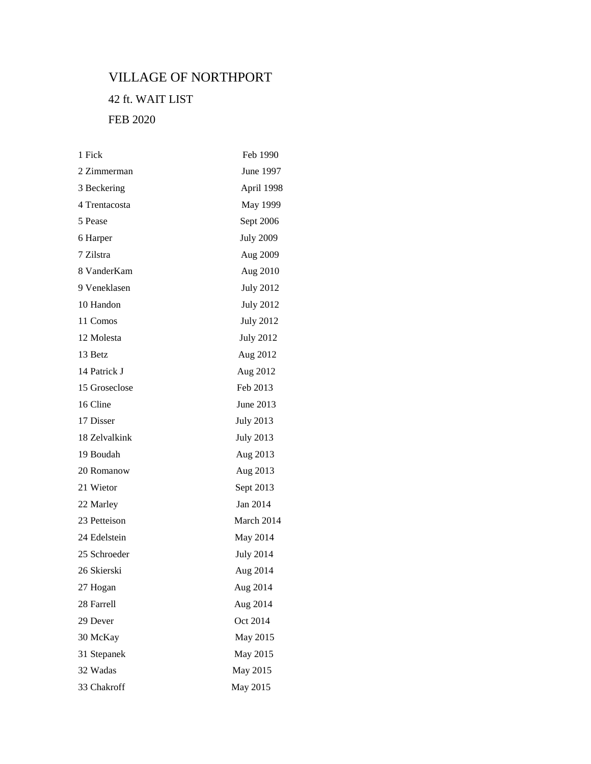## VILLAGE OF NORTHPORT

## 42 ft. WAIT LIST FEB 2020

| 1 Fick        | Feb 1990         |
|---------------|------------------|
| 2 Zimmerman   | June 1997        |
| 3 Beckering   | April 1998       |
| 4 Trentacosta | May 1999         |
| 5 Pease       | Sept 2006        |
| 6 Harper      | <b>July 2009</b> |
| 7 Zilstra     | Aug 2009         |
| 8 VanderKam   | Aug 2010         |
| 9 Veneklasen  | <b>July 2012</b> |
| 10 Handon     | <b>July 2012</b> |
| 11 Comos      | <b>July 2012</b> |
| 12 Molesta    | <b>July 2012</b> |
| 13 Betz       | Aug 2012         |
| 14 Patrick J  | Aug 2012         |
| 15 Groseclose | Feb 2013         |
| 16 Cline      | June 2013        |
| 17 Disser     | <b>July 2013</b> |
| 18 Zelvalkink | <b>July 2013</b> |
| 19 Boudah     | Aug 2013         |
| 20 Romanow    | Aug 2013         |
| 21 Wietor     | Sept 2013        |
| 22 Marley     | Jan 2014         |
| 23 Petteison  | March 2014       |
| 24 Edelstein  | May 2014         |
| 25 Schroeder  | <b>July 2014</b> |
| 26 Skierski   | Aug 2014         |
| 27 Hogan      | Aug 2014         |
| 28 Farrell    | Aug 2014         |
| 29 Dever      | Oct 2014         |
| 30 McKay      | May 2015         |
| 31 Stepanek   | May 2015         |
| 32 Wadas      | May 2015         |
| 33 Chakroff   | May 2015         |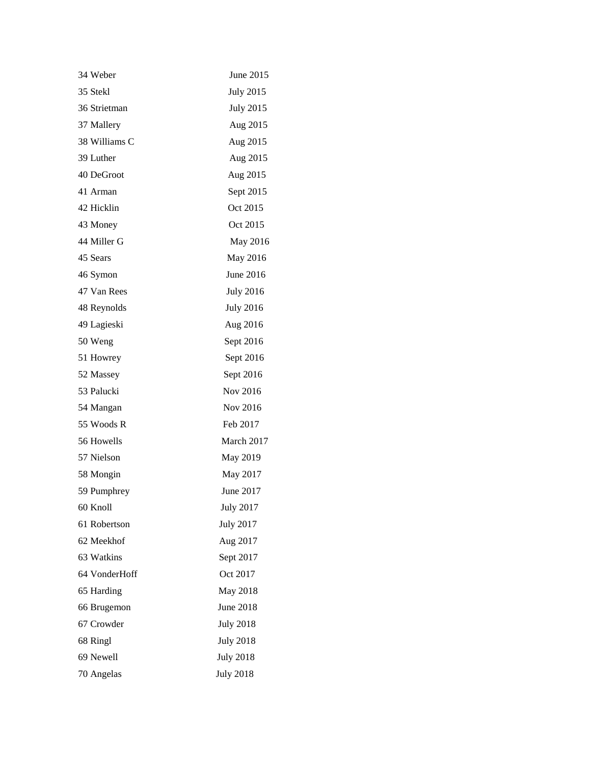| 34 Weber      | June 2015        |
|---------------|------------------|
| 35 Stekl      | <b>July 2015</b> |
| 36 Strietman  | <b>July 2015</b> |
| 37 Mallery    | Aug 2015         |
| 38 Williams C | Aug 2015         |
| 39 Luther     | Aug 2015         |
| 40 DeGroot    | Aug 2015         |
| 41 Arman      | Sept 2015        |
| 42 Hicklin    | Oct 2015         |
| 43 Money      | Oct 2015         |
| 44 Miller G   | May 2016         |
| 45 Sears      | May 2016         |
| 46 Symon      | June 2016        |
| 47 Van Rees   | <b>July 2016</b> |
| 48 Reynolds   | <b>July 2016</b> |
| 49 Lagieski   | Aug 2016         |
| 50 Weng       | Sept 2016        |
| 51 Howrey     | Sept 2016        |
| 52 Massey     | Sept 2016        |
| 53 Palucki    | Nov 2016         |
| 54 Mangan     | Nov 2016         |
| 55 Woods R    | Feb 2017         |
| 56 Howells    | March 2017       |
| 57 Nielson    | May 2019         |
| 58 Mongin     | May 2017         |
| 59 Pumphrey   | June 2017        |
| 60 Knoll      | <b>July 2017</b> |
| 61 Robertson  | <b>July 2017</b> |
| 62 Meekhof    | Aug 2017         |
| 63 Watkins    | Sept 2017        |
| 64 VonderHoff | Oct 2017         |
| 65 Harding    | May 2018         |
| 66 Brugemon   | June 2018        |
| 67 Crowder    | <b>July 2018</b> |
| 68 Ringl      | <b>July 2018</b> |
| 69 Newell     | <b>July 2018</b> |
| 70 Angelas    | <b>July 2018</b> |